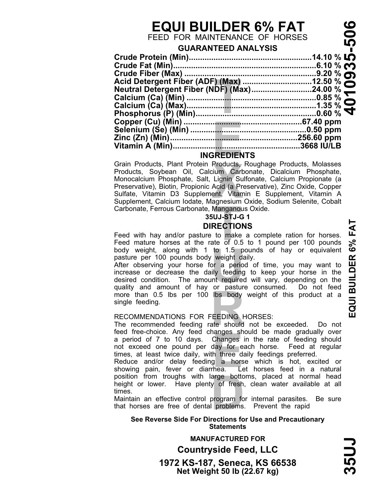# **EQUI BUILDER 6% FAT**

FEED FOR MAINTENANCE OF HORSES

## **GUARANTEED ANALYSIS**

|                    | .6.10 % <b>c</b>                                                    |
|--------------------|---------------------------------------------------------------------|
|                    |                                                                     |
|                    | Acid Detergent Fiber (ADF) (Max) 12.50 %                            |
|                    |                                                                     |
|                    |                                                                     |
|                    |                                                                     |
|                    |                                                                     |
|                    |                                                                     |
|                    |                                                                     |
|                    |                                                                     |
|                    |                                                                     |
| <b>INGREDIENTS</b> |                                                                     |
|                    | Grain Products, Plant Protein Products, Roughage Products, Molasses |

## **INGREDIENTS**

Grain Products, Plant Protein Products, Roughage Products, Molasses<br>Products, Soybean Oil, Calcium Carbonate, Dicalcium Phosphate,<br>Monocalcium Phosphate, Salt, Lignin Sulfonate, Calcium Propionate (a<br>Preservative), Biotin, Monocalcium Phosphate, Salt, Lignin Sulfonate, Calcium Propionate (a Preservative), Biotin, Propionic Acid (a Preservative), Zinc Oxide, Copper Sulfate, Vitamin D3 Supplement, Vitamin E Supplement, Vitamin A Supplement, Calcium Iodate, Magnesium Oxide, Sodium Selenite, Cobalt

## **35UJ-STJ-G 1 DIRECTIONS**

**T** Carbonate, Ferrous Carbonate, Manganous Oxide. Feed with hay and/or pasture to make a complete ration for horses. Feed mature horses at the rate of 0.5 to 1 pound per 100 pounds body weight, along with 1 to 1.5 pounds of hay or equivalent pasture per 100 pounds body weight daily.

body weight, along with 1 to 1.5 pounds of hay or equivalent<br>pasture per 100 pounds body weight dialy.<br>After observing your horse for a period of time, you may want to<br>increase or decrease the daily feeding to keep your ho From than 0.5 lbs per 100 lbs body weight of this product at a<br>
single feeding.<br>
RECOMMENDATIONS FOR FEEDING HORSES:<br>
The recommended feeding rate should not be exceeded. Do not<br>
feed free-choice. Any feed changes should b After observing your horse for a period of time, you may want to increase or decrease the daily feeding to keep your horse in the desired condition. The amount required will vary, depending on the single feeding.

## RECOMMENDATIONS FOR FEEDING HORSES:

ranges sn<br>Changes<br>day for e<br>h three d<br>g a hors<br>hea. Le<br>arge botto The recommended feeding rate should not be exceeded. Do not feed free-choice. Any feed changes should be made gradually over a period of 7 to 10 days. Changes in the rate of feeding should not exceed one pound per day for each horse. Feed at regular not exceed one pound per day for each horse. Feed at regular times, at least twice daily, with three daily feedings preferred.

position from troughs with large bottoms, placed at normal head<br>height or lower. Have plenty of fresh, clean water available at all<br>times.<br>Maintain an effective control propgram for internal parasites. Be sure<br>that horses Reduce and/or delay feeding a horse which is hot, excited or showing pain, fever or diarrhea. Let horses feed in a natural position from troughs with large bottoms, placed at normal head times.

Maintain an effective control program for internal parasites. Be sure that horses are free of dental problems. Prevent the rapid

## **See Reverse Side For Directions for Use and Precautionary Statements**

**Net Weight 50 lb (22.67 kg) 1972 KS-187, Seneca, KS 66538 Countryside Feed, LLC MANUFACTURED FOR**

 $35U$